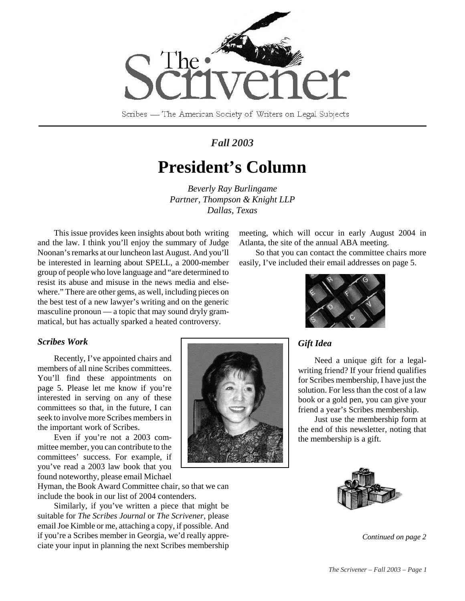

Scribes — The American Society of Writers on Legal Subjects

## *Fall 2003*

# **President's Column**

*Beverly Ray Burlingame Partner, Thompson & Knight LLP Dallas, Texas*

This issue provides keen insights about both writing and the law. I think you'll enjoy the summary of Judge Noonan's remarks at our luncheon last August. And you'll be interested in learning about SPELL, a 2000-member group of people who love language and "are determined to resist its abuse and misuse in the news media and elsewhere." There are other gems, as well, including pieces on the best test of a new lawyer's writing and on the generic masculine pronoun — a topic that may sound dryly grammatical, but has actually sparked a heated controversy.

*Scribes Work*

Recently, I've appointed chairs and members of all nine Scribes committees. You'll find these appointments on page 5. Please let me know if you're interested in serving on any of these committees so that, in the future, I can seek to involve more Scribes members in the important work of Scribes.

Even if you're not a 2003 committee member, you can contribute to the committees' success. For example, if you've read a 2003 law book that you found noteworthy, please email Michael

Hyman, the Book Award Committee chair, so that we can include the book in our list of 2004 contenders.

Similarly, if you've written a piece that might be suitable for *The Scribes Journal* or *The Scrivener*, please email Joe Kimble or me, attaching a copy, if possible. And if you're a Scribes member in Georgia, we'd really appreciate your input in planning the next Scribes membership



So that you can contact the committee chairs more easily, I've included their email addresses on page 5.



### *Gift Idea*

Need a unique gift for a legalwriting friend? If your friend qualifies for Scribes membership, I have just the solution. For less than the cost of a law book or a gold pen, you can give your friend a year's Scribes membership.

Just use the membership form at the end of this newsletter, noting that the membership is a gift.



*Continued on page 2*

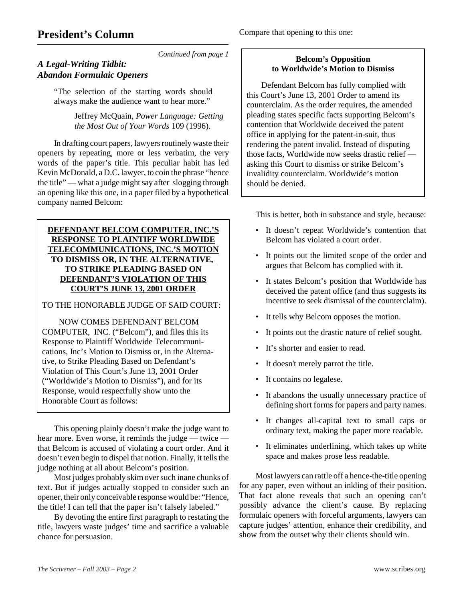## **President's Column**

Compare that opening to this one:

*Continued from page 1*

### *A Legal-Writing Tidbit: Abandon Formulaic Openers*

"The selection of the starting words should always make the audience want to hear more."

> Jeffrey McQuain, *Power Language: Getting the Most Out of Your Words* 109 (1996).

In drafting court papers, lawyers routinely waste their openers by repeating, more or less verbatim, the very words of the paper's title. This peculiar habit has led Kevin McDonald, a D.C. lawyer, to coin the phrase "hence the title" — what a judge might say after slogging through an opening like this one, in a paper filed by a hypothetical company named Belcom:

**DEFENDANT BELCOM COMPUTER, INC.'S RESPONSE TO PLAINTIFF WORLDWIDE TELECOMMUNICATIONS, INC.'S MOTION TO DISMISS OR, IN THE ALTERNATIVE, TO STRIKE PLEADING BASED ON DEFENDANT'S VIOLATION OF THIS COURT'S JUNE 13, 2001 ORDER**

TO THE HONORABLE JUDGE OF SAID COURT:

 NOW COMES DEFENDANT BELCOM COMPUTER, INC. ("Belcom"), and files this its Response to Plaintiff Worldwide Telecommunications, Inc's Motion to Dismiss or, in the Alternative, to Strike Pleading Based on Defendant's Violation of This Court's June 13, 2001 Order ("Worldwide's Motion to Dismiss"), and for its Response, would respectfully show unto the Honorable Court as follows:

This opening plainly doesn't make the judge want to hear more. Even worse, it reminds the judge — twice that Belcom is accused of violating a court order. And it doesn't even begin to dispel that notion. Finally, it tells the judge nothing at all about Belcom's position.

Most judges probably skim over such inane chunks of text. But if judges actually stopped to consider such an opener, their only conceivable response would be: "Hence, the title! I can tell that the paper isn't falsely labeled."

By devoting the entire first paragraph to restating the title, lawyers waste judges' time and sacrifice a valuable chance for persuasion.

#### **Belcom's Opposition to Worldwide's Motion to Dismiss**

 Defendant Belcom has fully complied with this Court's June 13, 2001 Order to amend its counterclaim. As the order requires, the amended pleading states specific facts supporting Belcom's contention that Worldwide deceived the patent office in applying for the patent-in-suit, thus rendering the patent invalid. Instead of disputing those facts, Worldwide now seeks drastic relief asking this Court to dismiss or strike Belcom's invalidity counterclaim. Worldwide's motion should be denied.

This is better, both in substance and style, because:

- It doesn't repeat Worldwide's contention that Belcom has violated a court order.
- It points out the limited scope of the order and argues that Belcom has complied with it.
- It states Belcom's position that Worldwide has deceived the patent office (and thus suggests its incentive to seek dismissal of the counterclaim).
- It tells why Belcom opposes the motion.
- It points out the drastic nature of relief sought.
- It's shorter and easier to read.
- It doesn't merely parrot the title.
- It contains no legalese.
- It abandons the usually unnecessary practice of defining short forms for papers and party names.
- It changes all-capital text to small caps or ordinary text, making the paper more readable.
- It eliminates underlining, which takes up white space and makes prose less readable.

Most lawyers can rattle off a hence-the-title opening for any paper, even without an inkling of their position. That fact alone reveals that such an opening can't possibly advance the client's cause. By replacing formulaic openers with forceful arguments, lawyers can capture judges' attention, enhance their credibility, and show from the outset why their clients should win.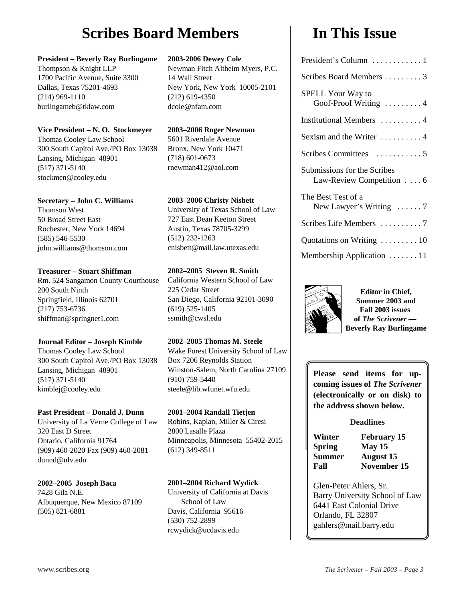# **Scribes Board Members**  I In This Issue

#### **President – Beverly Ray Burlingame**

Thompson & Knight LLP 1700 Pacific Avenue, Suite 3300 Dallas, Texas 75201-4693 (214) 969-1110 burlingameb@tklaw.com

#### **Vice President – N. O. Stockmeyer**

Thomas Cooley Law School 300 South Capitol Ave./PO Box 13038 Lansing, Michigan 48901 (517) 371-5140 stockmen@cooley.edu

#### **Secretary – John C. Williams**

Thomson West 50 Broad Street East Rochester, New York 14694 (585) 546-5530 john.williams@thomson.com

#### **Treasurer – Stuart Shiffman**

Rm. 524 Sangamon County Courthouse 200 South Ninth Springfield, Illinois 62701 (217) 753-6736 shiffman@springnet1.com

#### **Journal Editor – Joseph Kimble**

Thomas Cooley Law School 300 South Capitol Ave./PO Box 13038 Lansing, Michigan 48901 (517) 371-5140 kimblej@cooley.edu

#### **Past President – Donald J. Dunn**

University of La Verne College of Law 320 East D Street Ontario, California 91764 (909) 460-2020 Fax (909) 460-2081 dunnd@ulv.edu

#### **2002–2005 Joseph Baca**

7428 Gila N.E. Albuquerque, New Mexico 87109 (505) 821-6881

#### **2003-2006 Dewey Cole**

Newman Fitch Altheim Myers, P.C. 14 Wall Street New York, New York 10005-2101 (212) 619-4350 dcole@nfam.com

#### **2003–2006 Roger Newman** 5601 Riverdale Avenue

Bronx, New York 10471 (718) 601-0673 rnewman412@aol.com

### **2003–2006 Christy Nisbett**

University of Texas School of Law 727 East Dean Keeton Street Austin, Texas 78705-3299 (512) 232-1263 cnisbett@mail.law.utexas.edu

### **2002–2005 Steven R. Smith**

California Western School of Law 225 Cedar Street San Diego, California 92101-3090 (619) 525-1405 ssmith@cwsl.edu

#### **2002–2005 Thomas M. Steele**

Wake Forest University School of Law Box 7206 Reynolds Station Winston-Salem, North Carolina 27109 (910) 759-5440 steele@lib.wfunet.wfu.edu

#### **2001–2004 Randall Tietjen**

Robins, Kaplan, Miller & Ciresi 2800 Lasalle Plaza Minneapolis, Minnesota 55402-2015 (612) 349-8511

#### **2001–2004 Richard Wydick**

University of California at Davis School of Law Davis, California 95616 (530) 752-2899 rcwydick@ucdavis.edu

| President's Column  1                                           |
|-----------------------------------------------------------------|
| Scribes Board Members  3                                        |
| <b>SPELL Your Way to</b><br>Goof-Proof Writing $\dots \dots 4$  |
| Institutional Members  4                                        |
| Sexism and the Writer $\dots\dots\dots$                         |
|                                                                 |
| Submissions for the Scribes<br>Law-Review Competition $\dots$ 6 |
| The Best Test of a<br>New Lawyer's Writing $\dots 7$            |
| Scribes Life Members 7                                          |
| Quotations on Writing  10                                       |
| Membership Application  11                                      |



**Editor in Chief, Summer 2003 and Fall 2003 issues of** *The Scrivener* **— Beverly Ray Burlingame**

**Please send items for upcoming issues of** *The Scrivener* **(electronically or on disk) to the address shown below.**

#### **Deadlines**

**Winter February 15 Spring May 15 Summer August 15**

**Fall November 15** 

Glen-Peter Ahlers, Sr. Barry University School of Law 6441 East Colonial Drive Orlando, FL 32807 gahlers@mail.barry.edu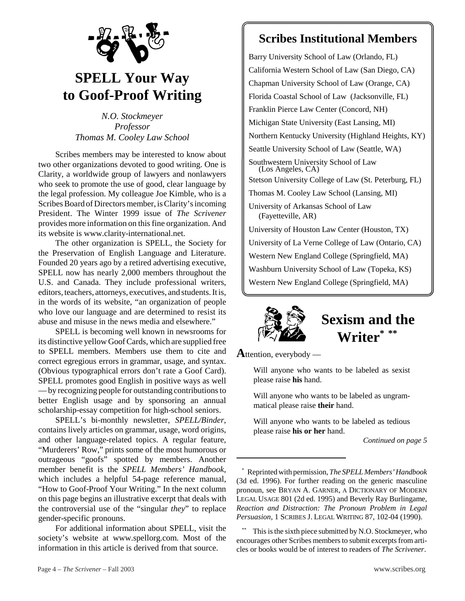

# **SPELL Your Way to Goof-Proof Writing**

*N.O. Stockmeyer Professor Thomas M. Cooley Law School*

Scribes members may be interested to know about two other organizations devoted to good writing. One is Clarity, a worldwide group of lawyers and nonlawyers who seek to promote the use of good, clear language by the legal profession. My colleague Joe Kimble, who is a Scribes Board of Directors member, is Clarity's incoming President. The Winter 1999 issue of *The Scrivener* provides more information on this fine organization. And its website is www.clarity-international.net.

The other organization is SPELL, the Society for the Preservation of English Language and Literature. Founded 20 years ago by a retired advertising executive, SPELL now has nearly 2,000 members throughout the U.S. and Canada. They include professional writers, editors, teachers, attorneys, executives, and students. It is, in the words of its website, "an organization of people who love our language and are determined to resist its abuse and misuse in the news media and elsewhere."

SPELL is becoming well known in newsrooms for its distinctive yellow Goof Cards, which are supplied free to SPELL members. Members use them to cite and correct egregious errors in grammar, usage, and syntax. (Obvious typographical errors don't rate a Goof Card). SPELL promotes good English in positive ways as well — by recognizing people for outstanding contributions to better English usage and by sponsoring an annual scholarship-essay competition for high-school seniors.

SPELL's bi-monthly newsletter, *SPELL/Binder*, contains lively articles on grammar, usage, word origins, and other language-related topics. A regular feature, "Murderers' Row," prints some of the most humorous or outrageous "goofs" spotted by members. Another member benefit is the *SPELL Members' Handbook*, which includes a helpful 54-page reference manual, "How to Goof-Proof Your Writing." In the next column on this page begins an illustrative excerpt that deals with the controversial use of the "singular *they*" to replace gender-specific pronouns.

For additional information about SPELL, visit the society's website at www.spellorg.com. Most of the information in this article is derived from that source.

## **Scribes Institutional Members**

Barry University School of Law (Orlando, FL) California Western School of Law (San Diego, CA) Chapman University School of Law (Orange, CA) Florida Coastal School of Law (Jacksonville, FL) Franklin Pierce Law Center (Concord, NH) Michigan State University (East Lansing, MI) Northern Kentucky University (Highland Heights, KY) Seattle University School of Law (Seattle, WA) Southwestern University School of Law (Los Angeles, CA) Stetson University College of Law (St. Peterburg, FL) Thomas M. Cooley Law School (Lansing, MI) University of Arkansas School of Law (Fayetteville, AR) University of Houston Law Center (Houston, TX) University of La Verne College of Law (Ontario, CA) Western New England College (Springfield, MA) Washburn University School of Law (Topeka, KS) Western New England College (Springfield, MA)



**Sexism and the Writer\* \*\***

**A**ttention, everybody —

Will anyone who wants to be labeled as sexist please raise **his** hand.

Will anyone who wants to be labeled as ungrammatical please raise **their** hand.

Will anyone who wants to be labeled as tedious please raise **his or her** hand.

*Continued on page 5*

<sup>\*</sup> Reprinted with permission, *The SPELL Members' Handbook* (3d ed. 1996). For further reading on the generic masculine pronoun, see BRYAN A. GARNER, A DICTIONARY OF MODERN LEGAL USAGE 801 (2d ed. 1995) and Beverly Ray Burlingame, *Reaction and Distraction: The Pronoun Problem in Legal Persuasion*, 1 SCRIBES J. LEGAL WRITING 87, 102-04 (1990).

This is the sixth piece submitted by N.O. Stockmeyer, who encourages other Scribes members to submit excerpts from articles or books would be of interest to readers of *The Scrivener*.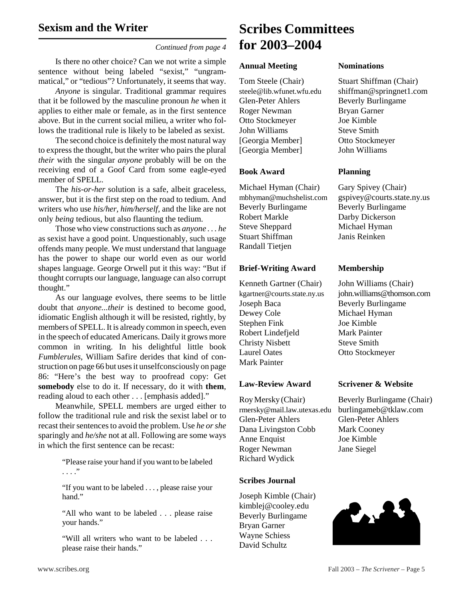*Continued from page 4*

Is there no other choice? Can we not write a simple sentence without being labeled "sexist," "ungrammatical," or "tedious"? Unfortunately, it seems that way.

*Anyone* is singular. Traditional grammar requires that it be followed by the masculine pronoun *he* when it applies to either male or female, as in the first sentence above. But in the current social milieu, a writer who follows the traditional rule is likely to be labeled as sexist.

The second choice is definitely the most natural way to express the thought, but the writer who pairs the plural *their* with the singular *anyone* probably will be on the receiving end of a Goof Card from some eagle-eyed member of SPELL.

The *his-or-her* solution is a safe, albeit graceless, answer, but it is the first step on the road to tedium. And writers who use *his/her, him/herself,* and the like are not only *being* tedious, but also flaunting the tedium.

Those who view constructions such as *anyone . . . he* as sexist have a good point. Unquestionably, such usage offends many people. We must understand that language has the power to shape our world even as our world shapes language. George Orwell put it this way: "But if thought corrupts our language, language can also corrupt thought."

As our language evolves, there seems to be little doubt that *anyone...their* is destined to become good, idiomatic English although it will be resisted, rightly, by members of SPELL. It is already common in speech, even in the speech of educated Americans. Daily it grows more common in writing. In his delightful little book *Fumblerules*, William Safire derides that kind of construction on page 66 but uses it unselfconsciously on page 86: "Here's the best way to proofread copy: Get **somebody** else to do it. If necessary, do it with **them**, reading aloud to each other . . . [emphasis added]."

Meanwhile, SPELL members are urged either to follow the traditional rule and risk the sexist label or to recast their sentences to avoid the problem. Use *he or she* sparingly and *he/she* not at all. Following are some ways in which the first sentence can be recast:

> "Please raise your hand if you want to be labeled . . . ."

> "If you want to be labeled . . . , please raise your hand."

> "All who want to be labeled . . . please raise your hands."

> "Will all writers who want to be labeled . . . please raise their hands."

## **Scribes Committees for 2003–2004**

#### **Annual Meeting Nominations**

Glen-Peter Ahlers Beverly Burlingame Roger Newman Bryan Garner Otto Stockmeyer Joe Kimble John Williams Steve Smith [Georgia Member] Otto Stockmeyer [Georgia Member] John Williams

#### **Book Award****Planning**

Michael Hyman (Chair) Gary Spivey (Chair) Beverly Burlingame Beverly Burlingame Robert Markle Darby Dickerson Steve Sheppard Michael Hyman Stuart Shiffman Janis Reinken Randall Tietjen

#### **Brief-Writing Award Membership**

Kenneth Gartner (Chair) John Williams (Chair) Joseph Baca Beverly Burlingame Dewey Cole Michael Hyman Stephen Fink Joe Kimble Robert Lindefjeld Mark Painter Christy Nisbett Steve Smith Laurel Oates Otto Stockmeyer Mark Painter

rmersky@mail.law.utexas.edu burlingameb@tklaw.com Glen-Peter Ahlers Glen-Peter Ahlers Dana Livingston Cobb Mark Cooney Anne Enquist Joe Kimble Roger Newman Jane Siegel Richard Wydick

#### **Scribes Journal**

Joseph Kimble (Chair) kimblej@cooley.edu Beverly Burlingame Bryan Garner Wayne Schiess David Schultz

Tom Steele (Chair) Stuart Shiffman (Chair) steele@lib.wfunet.wfu.edu shiffman@springnet1.com

mbhyman@muchshelist.com gspivey@courts.state.ny.us

kgartner@courts.state.ny.us john.williams@thomson.com

#### **Law-Review Award Scrivener & Website**

Roy Mersky (Chair) Beverly Burlingame (Chair)

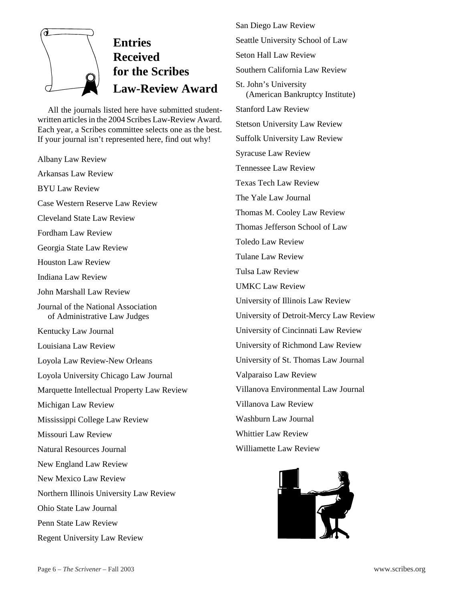

# **Entries Received for the Scribes Law-Review Award**

All the journals listed here have submitted studentwritten articles in the 2004 Scribes Law-Review Award. Each year, a Scribes committee selects one as the best. If your journal isn't represented here, find out why!

Albany Law Review Arkansas Law Review BYU Law Review Case Western Reserve Law Review Cleveland State Law Review Fordham Law Review Georgia State Law Review Houston Law Review Indiana Law Review John Marshall Law Review Journal of the National Association of Administrative Law Judges Kentucky Law Journal Louisiana Law Review Loyola Law Review-New Orleans Loyola University Chicago Law Journal Marquette Intellectual Property Law Review Michigan Law Review Mississippi College Law Review Missouri Law Review Natural Resources Journal New England Law Review New Mexico Law Review Northern Illinois University Law Review Ohio State Law Journal Penn State Law Review Regent University Law Review

San Diego Law Review Seattle University School of Law Seton Hall Law Review Southern California Law Review St. John's University (American Bankruptcy Institute) Stanford Law Review Stetson University Law Review Suffolk University Law Review Syracuse Law Review Tennessee Law Review Texas Tech Law Review The Yale Law Journal Thomas M. Cooley Law Review Thomas Jefferson School of Law Toledo Law Review Tulane Law Review Tulsa Law Review UMKC Law Review University of Illinois Law Review University of Detroit-Mercy Law Review University of Cincinnati Law Review University of Richmond Law Review University of St. Thomas Law Journal Valparaiso Law Review Villanova Environmental Law Journal Villanova Law Review Washburn Law Journal Whittier Law Review Williamette Law Review

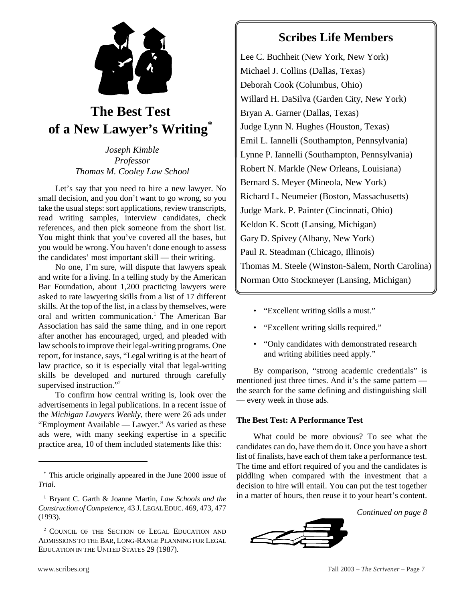

## **The Best Test of a New Lawyer's Writing\***

*Joseph Kimble Professor Thomas M. Cooley Law School*

Let's say that you need to hire a new lawyer. No small decision, and you don't want to go wrong, so you take the usual steps: sort applications, review transcripts, read writing samples, interview candidates, check references, and then pick someone from the short list. You might think that you've covered all the bases, but you would be wrong. You haven't done enough to assess the candidates' most important skill — their writing.

No one, I'm sure, will dispute that lawyers speak and write for a living. In a telling study by the American Bar Foundation, about 1,200 practicing lawyers were asked to rate lawyering skills from a list of 17 different skills. At the top of the list, in a class by themselves, were oral and written communication.<sup>1</sup> The American Bar Association has said the same thing, and in one report after another has encouraged, urged, and pleaded with law schools to improve their legal-writing programs. One report, for instance, says, "Legal writing is at the heart of law practice, so it is especially vital that legal-writing skills be developed and nurtured through carefully supervised instruction."<sup>2</sup>

To confirm how central writing is, look over the advertisements in legal publications. In a recent issue of the *Michigan Lawyers Weekly*, there were 26 ads under "Employment Available — Lawyer." As varied as these ads were, with many seeking expertise in a specific practice area, 10 of them included statements like this:

Lee C. Buchheit (New York, New York) Michael J. Collins (Dallas, Texas) Deborah Cook (Columbus, Ohio) Willard H. DaSilva (Garden City, New York) Bryan A. Garner (Dallas, Texas) Judge Lynn N. Hughes (Houston, Texas) Emil L. Iannelli (Southampton, Pennsylvania) Lynne P. Iannelli (Southampton, Pennsylvania) Robert N. Markle (New Orleans, Louisiana) Bernard S. Meyer (Mineola, New York) Richard L. Neumeier (Boston, Massachusetts) Judge Mark. P. Painter (Cincinnati, Ohio) Keldon K. Scott (Lansing, Michigan) Gary D. Spivey (Albany, New York) Paul R. Steadman (Chicago, Illinois) Thomas M. Steele (Winston-Salem, North Carolina) Norman Otto Stockmeyer (Lansing, Michigan)

- "Excellent writing skills a must."
- "Excellent writing skills required."
- "Only candidates with demonstrated research and writing abilities need apply."

By comparison, "strong academic credentials" is mentioned just three times. And it's the same pattern the search for the same defining and distinguishing skill — every week in those ads.

#### **The Best Test: A Performance Test**

What could be more obvious? To see what the candidates can do, have them do it. Once you have a short list of finalists, have each of them take a performance test. The time and effort required of you and the candidates is piddling when compared with the investment that a decision to hire will entail. You can put the test together in a matter of hours, then reuse it to your heart's content.

*Continued on page 8*



<sup>\*</sup> This article originally appeared in the June 2000 issue of *Trial*.

<sup>1</sup> Bryant C. Garth & Joanne Martin, *Law Schools and the Construction of Competence*, 43 J.LEGAL EDUC. 469, 473, 477 (1993).

<sup>&</sup>lt;sup>2</sup> COUNCIL OF THE SECTION OF LEGAL EDUCATION AND ADMISSIONS TO THE BAR, LONG-RANGE PLANNING FOR LEGAL EDUCATION IN THE UNITED STATES 29 (1987).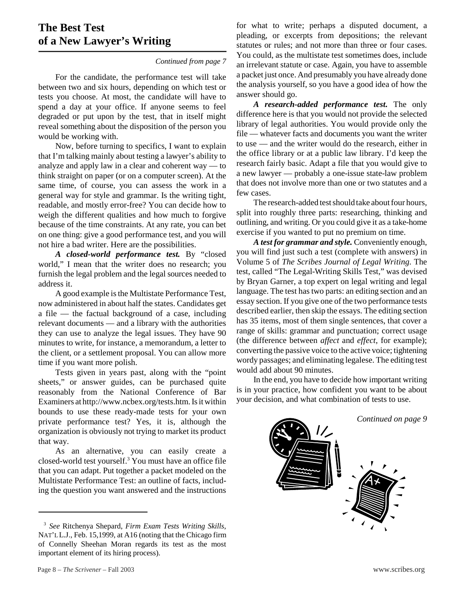## **The Best Test of a New Lawyer's Writing**

#### *Continued from page 7*

For the candidate, the performance test will take between two and six hours, depending on which test or tests you choose. At most, the candidate will have to spend a day at your office. If anyone seems to feel degraded or put upon by the test, that in itself might reveal something about the disposition of the person you would be working with.

Now, before turning to specifics, I want to explain that I'm talking mainly about testing a lawyer's ability to analyze and apply law in a clear and coherent way — to think straight on paper (or on a computer screen). At the same time, of course, you can assess the work in a general way for style and grammar. Is the writing tight, readable, and mostly error-free? You can decide how to weigh the different qualities and how much to forgive because of the time constraints. At any rate, you can bet on one thing: give a good performance test, and you will not hire a bad writer. Here are the possibilities.

*A closed-world performance test.* By "closed world," I mean that the writer does no research; you furnish the legal problem and the legal sources needed to address it.

A good example is the Multistate Performance Test, now administered in about half the states. Candidates get a file — the factual background of a case, including relevant documents — and a library with the authorities they can use to analyze the legal issues. They have 90 minutes to write, for instance, a memorandum, a letter to the client, or a settlement proposal. You can allow more time if you want more polish.

Tests given in years past, along with the "point sheets," or answer guides, can be purchased quite reasonably from the National Conference of Bar Examiners at http://www.ncbex.org/tests.htm. Is it within bounds to use these ready-made tests for your own private performance test? Yes, it is, although the organization is obviously not trying to market its product that way.

As an alternative, you can easily create a closed-world test yourself.3 You must have an office file that you can adapt. Put together a packet modeled on the Multistate Performance Test: an outline of facts, including the question you want answered and the instructions for what to write; perhaps a disputed document, a pleading, or excerpts from depositions; the relevant statutes or rules; and not more than three or four cases. You could, as the multistate test sometimes does, include an irrelevant statute or case. Again, you have to assemble a packet just once. And presumably you have already done the analysis yourself, so you have a good idea of how the answer should go.

*A research-added performance test.* The only difference here is that you would not provide the selected library of legal authorities. You would provide only the file — whatever facts and documents you want the writer to use — and the writer would do the research, either in the office library or at a public law library. I'd keep the research fairly basic. Adapt a file that you would give to a new lawyer — probably a one-issue state-law problem that does not involve more than one or two statutes and a few cases.

The research-added test should take about four hours, split into roughly three parts: researching, thinking and outlining, and writing. Or you could give it as a take-home exercise if you wanted to put no premium on time.

*A test for grammar and style.* Conveniently enough, you will find just such a test (complete with answers) in Volume 5 of *The Scribes Journal of Legal Writing*. The test, called "The Legal-Writing Skills Test," was devised by Bryan Garner, a top expert on legal writing and legal language. The test has two parts: an editing section and an essay section. If you give one of the two performance tests described earlier, then skip the essays. The editing section has 35 items, most of them single sentences, that cover a range of skills: grammar and punctuation; correct usage (the difference between *affect* and *effect*, for example); converting the passive voice to the active voice; tightening wordy passages; and eliminating legalese. The editing test would add about 90 minutes.

In the end, you have to decide how important writing is in your practice, how confident you want to be about your decision, and what combination of tests to use.



<sup>3</sup> *See* Ritchenya Shepard, *Firm Exam Tests Writing Skills*, NAT'L L.J., Feb. 15,1999, at A16 (noting that the Chicago firm of Connelly Sheehan Moran regards its test as the most important element of its hiring process).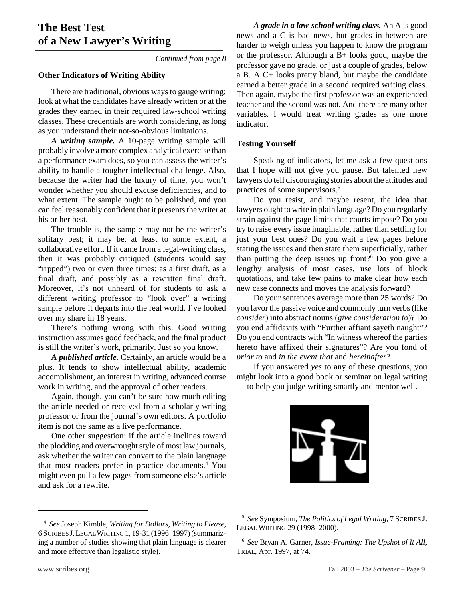## **The Best Test of a New Lawyer's Writing**

*Continued from page 8*

#### **Other Indicators of Writing Ability**

There are traditional, obvious ways to gauge writing: look at what the candidates have already written or at the grades they earned in their required law-school writing classes. These credentials are worth considering, as long as you understand their not-so-obvious limitations.

*A writing sample.* A 10-page writing sample will probably involve a more complex analytical exercise than a performance exam does, so you can assess the writer's ability to handle a tougher intellectual challenge. Also, because the writer had the luxury of time, you won't wonder whether you should excuse deficiencies, and to what extent. The sample ought to be polished, and you can feel reasonably confident that it presents the writer at his or her best.

The trouble is, the sample may not be the writer's solitary best; it may be, at least to some extent, a collaborative effort. If it came from a legal-writing class, then it was probably critiqued (students would say "ripped") two or even three times: as a first draft, as a final draft, and possibly as a rewritten final draft. Moreover, it's not unheard of for students to ask a different writing professor to "look over" a writing sample before it departs into the real world. I've looked over my share in 18 years.

There's nothing wrong with this. Good writing instruction assumes good feedback, and the final product is still the writer's work, primarily. Just so you know.

*A published article.* Certainly, an article would be a plus. It tends to show intellectual ability, academic accomplishment, an interest in writing, advanced course work in writing, and the approval of other readers.

Again, though, you can't be sure how much editing the article needed or received from a scholarly-writing professor or from the journal's own editors. A portfolio item is not the same as a live performance.

One other suggestion: if the article inclines toward the plodding and overwrought style of most law journals, ask whether the writer can convert to the plain language that most readers prefer in practice documents.<sup>4</sup> You might even pull a few pages from someone else's article and ask for a rewrite.

*A grade in a law-school writing class.* An A is good news and a C is bad news, but grades in between are harder to weigh unless you happen to know the program or the professor. Although a B+ looks good, maybe the professor gave no grade, or just a couple of grades, below a B. A C+ looks pretty bland, but maybe the candidate earned a better grade in a second required writing class. Then again, maybe the first professor was an experienced teacher and the second was not. And there are many other variables. I would treat writing grades as one more indicator.

#### **Testing Yourself**

Speaking of indicators, let me ask a few questions that I hope will not give you pause. But talented new lawyers do tell discouraging stories about the attitudes and practices of some supervisors.<sup>5</sup>

Do you resist, and maybe resent, the idea that lawyers ought to write in plain language? Do you regularly strain against the page limits that courts impose? Do you try to raise every issue imaginable, rather than settling for just your best ones? Do you wait a few pages before stating the issues and then state them superficially, rather than putting the deep issues up front? $6$  Do you give a lengthy analysis of most cases, use lots of block quotations, and take few pains to make clear how each new case connects and moves the analysis forward?

Do your sentences average more than 25 words? Do you favor the passive voice and commonly turn verbs (like *consider*) into abstract nouns (*give consideration to*)? Do you end affidavits with "Further affiant sayeth naught"? Do you end contracts with "In witness whereof the parties hereto have affixed their signatures"? Are you fond of *prior to* and *in the event that* and *hereinafter*?

If you answered *yes* to any of these questions, you might look into a good book or seminar on legal writing — to help you judge writing smartly and mentor well.



<sup>5</sup> *See* Symposium, *The Politics of Legal Writing*, 7 SCRIBES J. LEGAL WRITING 29 (1998–2000).

<sup>4</sup> *See* Joseph Kimble, *Writing for Dollars, Writing to Please*, 6 SCRIBES J.LEGAL WRITING 1, 19-31 (1996–1997) (summarizing a number of studies showing that plain language is clearer and more effective than legalistic style).

<sup>6</sup> *See* Bryan A. Garner, *Issue-Framing: The Upshot of It All*, TRIAL, Apr. 1997, at 74.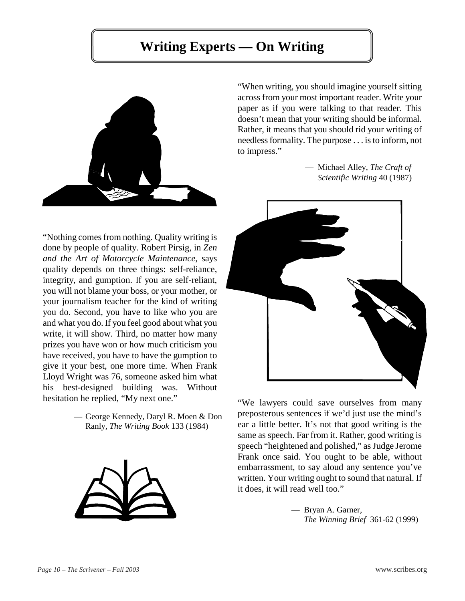# **Writing Experts — On Writing**



"Nothing comes from nothing. Quality writing is done by people of quality. Robert Pirsig, in *Zen and the Art of Motorcycle Maintenance*, says quality depends on three things: self-reliance, integrity, and gumption. If you are self-reliant, you will not blame your boss, or your mother, or your journalism teacher for the kind of writing you do. Second, you have to like who you are and what you do. If you feel good about what you write, it will show. Third, no matter how many prizes you have won or how much criticism you have received, you have to have the gumption to give it your best, one more time. When Frank Lloyd Wright was 76, someone asked him what his best-designed building was. Without hesitation he replied, "My next one."

> — George Kennedy, Daryl R. Moen & Don Ranly, *The Writing Book* 133 (1984)



"When writing, you should imagine yourself sitting across from your most important reader. Write your paper as if you were talking to that reader. This doesn't mean that your writing should be informal. Rather, it means that you should rid your writing of needless formality. The purpose . . . is to inform, not to impress."

> — Michael Alley, *The Craft of Scientific Writing* 40 (1987)



"We lawyers could save ourselves from many preposterous sentences if we'd just use the mind's ear a little better. It's not that good writing is the same as speech. Far from it. Rather, good writing is speech "heightened and polished," as Judge Jerome Frank once said. You ought to be able, without embarrassment, to say aloud any sentence you've written. Your writing ought to sound that natural. If it does, it will read well too."

> — Bryan A. Garner, *The Winning Brief* 361-62 (1999)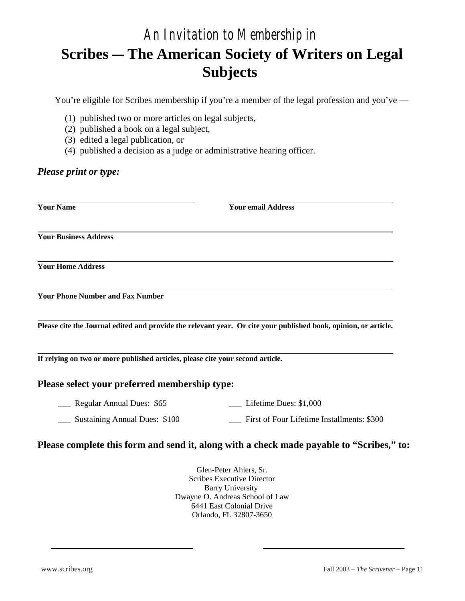# *An Invitation to Membership in*  **Scribes – The American Society of Writers on Legal Subjects**

You're eligible for Scribes membership if you're a member of the legal profession and you've —

- (1) published two or more articles on legal subjects,
- (2) published a book on a legal subject,
- (3) edited a legal publication, or
- (4) published a decision as a judge or administrative hearing officer.

### *Please print or type:*

| <b>Your Name</b>                        | <b>Your email Address</b>                                                                                       |
|-----------------------------------------|-----------------------------------------------------------------------------------------------------------------|
| <b>Your Business Address</b>            |                                                                                                                 |
| <b>Your Home Address</b>                |                                                                                                                 |
| <b>Your Phone Number and Fax Number</b> |                                                                                                                 |
|                                         | Please cite the Journal edited and provide the relevant year. Or cite your published book, opinion, or article. |
|                                         |                                                                                                                 |

**If relying on two or more published articles, please cite your second article.** 

### **Please select your preferred membership type:**

| Regular Annual Dues: \$65     | Lifetime Dues: \$1,000                     |
|-------------------------------|--------------------------------------------|
| Sustaining Annual Dues: \$100 | First of Four Lifetime Installments: \$300 |

### **Please complete this form and send it, along with a check made payable to "Scribes," to:**

Glen-Peter Ahlers, Sr. Scribes Executive Director Barry University Dwayne O. Andreas School of Law 6441 East Colonial Drive Orlando, FL 32807-3650